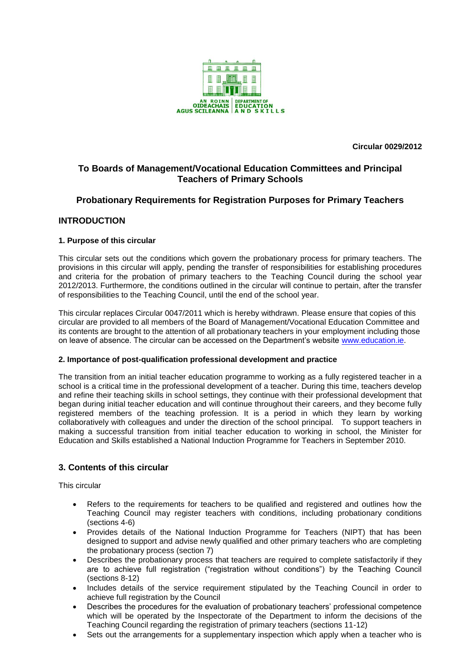

**Circular 0029/2012** 

# **To Boards of Management/Vocational Education Committees and Principal Teachers of Primary Schools**

# **Probationary Requirements for Registration Purposes for Primary Teachers**

# **INTRODUCTION**

## **1. Purpose of this circular**

This circular sets out the conditions which govern the probationary process for primary teachers. The provisions in this circular will apply, pending the transfer of responsibilities for establishing procedures and criteria for the probation of primary teachers to the Teaching Council during the school year 2012/2013. Furthermore, the conditions outlined in the circular will continue to pertain, after the transfer of responsibilities to the Teaching Council, until the end of the school year.

This circular replaces Circular 0047/2011 which is hereby withdrawn. Please ensure that copies of this circular are provided to all members of the Board of Management/Vocational Education Committee and its contents are brought to the attention of all probationary teachers in your employment including those on leave of absence. The circular can be accessed on the Department's website [www.education.ie.](http://www.education.ie/)

### **2. Importance of post-qualification professional development and practice**

The transition from an initial teacher education programme to working as a fully registered teacher in a school is a critical time in the professional development of a teacher. During this time, teachers develop and refine their teaching skills in school settings, they continue with their professional development that began during initial teacher education and will continue throughout their careers, and they become fully registered members of the teaching profession. It is a period in which they learn by working collaboratively with colleagues and under the direction of the school principal. To support teachers in making a successful transition from initial teacher education to working in school, the Minister for Education and Skills established a National Induction Programme for Teachers in September 2010.

# **3. Contents of this circular**

This circular

- Refers to the requirements for teachers to be qualified and registered and outlines how the Teaching Council may register teachers with conditions, including probationary conditions (sections 4-6)
- Provides details of the National Induction Programme for Teachers (NIPT) that has been designed to support and advise newly qualified and other primary teachers who are completing the probationary process (section 7)
- Describes the probationary process that teachers are required to complete satisfactorily if they are to achieve full registration ("registration without conditions") by the Teaching Council (sections 8-12)
- Includes details of the service requirement stipulated by the Teaching Council in order to achieve full registration by the Council
- Describes the procedures for the evaluation of probationary teachers' professional competence which will be operated by the Inspectorate of the Department to inform the decisions of the Teaching Council regarding the registration of primary teachers (sections 11-12)
- Sets out the arrangements for a supplementary inspection which apply when a teacher who is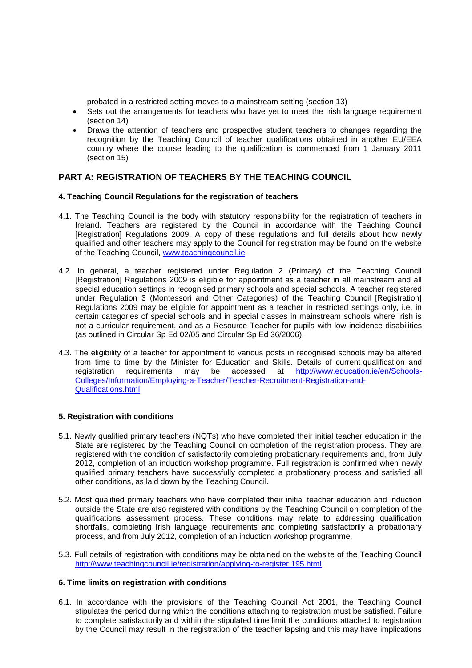probated in a restricted setting moves to a mainstream setting (section 13)

- Sets out the arrangements for teachers who have yet to meet the Irish language requirement (section 14)
- Draws the attention of teachers and prospective student teachers to changes regarding the recognition by the Teaching Council of teacher qualifications obtained in another EU/EEA country where the course leading to the qualification is commenced from 1 January 2011 (section 15)

# **PART A: REGISTRATION OF TEACHERS BY THE TEACHING COUNCIL**

### **4. Teaching Council Regulations for the registration of teachers**

- 4.1. The Teaching Council is the body with statutory responsibility for the registration of teachers in Ireland. Teachers are registered by the Council in accordance with the Teaching Council [Registration] Regulations 2009. A copy of these regulations and full details about how newly qualified and other teachers may apply to the Council for registration may be found on the website of the Teaching Council, [www.teachingcouncil.ie](http://www.teachingcouncil.ie/)
- 4.2. In general, a teacher registered under Regulation 2 (Primary) of the Teaching Council [Registration] Regulations 2009 is eligible for appointment as a teacher in all mainstream and all special education settings in recognised primary schools and special schools. A teacher registered under Regulation 3 (Montessori and Other Categories) of the Teaching Council [Registration] Regulations 2009 may be eligible for appointment as a teacher in restricted settings only, i.e. in certain categories of special schools and in special classes in mainstream schools where Irish is not a curricular requirement, and as a Resource Teacher for pupils with low-incidence disabilities (as outlined in Circular Sp Ed 02/05 and Circular Sp Ed 36/2006).
- 4.3. The eligibility of a teacher for appointment to various posts in recognised schools may be altered from time to time by the Minister for Education and Skills. Details of current qualification and registration requirements may be accessed at [http://www.education.ie/en/Schools-](http://www.education.ie/en/Schools-Colleges/Information/Employing-a-Teacher/Teacher-Recruitment-Registration-and-Qualifications.html)[Colleges/Information/Employing-a-Teacher/Teacher-Recruitment-Registration-and-](http://www.education.ie/en/Schools-Colleges/Information/Employing-a-Teacher/Teacher-Recruitment-Registration-and-Qualifications.html)[Qualifications.html.](http://www.education.ie/en/Schools-Colleges/Information/Employing-a-Teacher/Teacher-Recruitment-Registration-and-Qualifications.html)

### **5. Registration with conditions**

- 5.1. Newly qualified primary teachers (NQTs) who have completed their initial teacher education in the State are registered by the Teaching Council on completion of the registration process. They are registered with the condition of satisfactorily completing probationary requirements and, from July 2012, completion of an induction workshop programme. Full registration is confirmed when newly qualified primary teachers have successfully completed a probationary process and satisfied all other conditions, as laid down by the Teaching Council.
- 5.2. Most qualified primary teachers who have completed their initial teacher education and induction outside the State are also registered with conditions by the Teaching Council on completion of the qualifications assessment process. These conditions may relate to addressing qualification shortfalls, completing Irish language requirements and completing satisfactorily a probationary process, and from July 2012, completion of an induction workshop programme.
- 5.3. Full details of registration with conditions may be obtained on the website of the Teaching Council [http://www.teachingcouncil.ie/registration/applying-to-register.195.html.](http://www.teachingcouncil.ie/registration/applying-to-register.195.html)

### **6. Time limits on registration with conditions**

6.1. In accordance with the provisions of the Teaching Council Act 2001, the Teaching Council stipulates the period during which the conditions attaching to registration must be satisfied. Failure to complete satisfactorily and within the stipulated time limit the conditions attached to registration by the Council may result in the registration of the teacher lapsing and this may have implications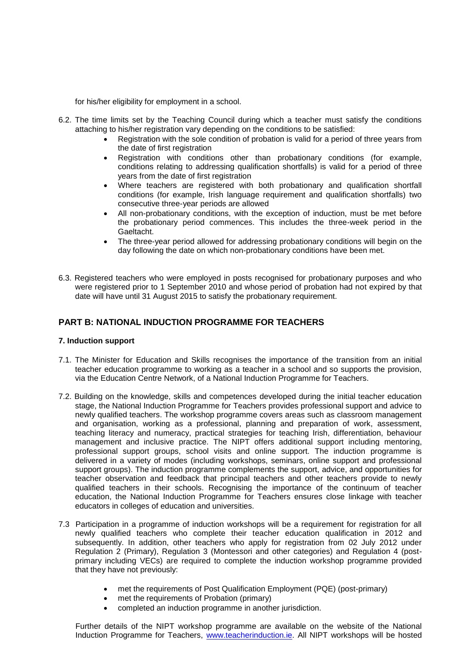for his/her eligibility for employment in a school.

- 6.2. The time limits set by the Teaching Council during which a teacher must satisfy the conditions attaching to his/her registration vary depending on the conditions to be satisfied:
	- Registration with the sole condition of probation is valid for a period of three years from the date of first registration
	- Registration with conditions other than probationary conditions (for example, conditions relating to addressing qualification shortfalls) is valid for a period of three years from the date of first registration
	- Where teachers are registered with both probationary and qualification shortfall conditions (for example, Irish language requirement and qualification shortfalls) two consecutive three-year periods are allowed
	- All non-probationary conditions, with the exception of induction, must be met before the probationary period commences. This includes the three-week period in the Gaeltacht.
	- The three-year period allowed for addressing probationary conditions will begin on the day following the date on which non-probationary conditions have been met.
- 6.3. Registered teachers who were employed in posts recognised for probationary purposes and who were registered prior to 1 September 2010 and whose period of probation had not expired by that date will have until 31 August 2015 to satisfy the probationary requirement.

# **PART B: NATIONAL INDUCTION PROGRAMME FOR TEACHERS**

### **7. Induction support**

- 7.1. The Minister for Education and Skills recognises the importance of the transition from an initial teacher education programme to working as a teacher in a school and so supports the provision, via the Education Centre Network, of a National Induction Programme for Teachers.
- 7.2. Building on the knowledge, skills and competences developed during the initial teacher education stage, the National Induction Programme for Teachers provides professional support and advice to newly qualified teachers. The workshop programme covers areas such as classroom management and organisation, working as a professional, planning and preparation of work, assessment, teaching literacy and numeracy, practical strategies for teaching Irish, differentiation, behaviour management and inclusive practice. The NIPT offers additional support including mentoring, professional support groups, school visits and online support. The induction programme is delivered in a variety of modes (including workshops, seminars, online support and professional support groups). The induction programme complements the support, advice, and opportunities for teacher observation and feedback that principal teachers and other teachers provide to newly qualified teachers in their schools. Recognising the importance of the continuum of teacher education, the National Induction Programme for Teachers ensures close linkage with teacher educators in colleges of education and universities.
- 7.3 Participation in a programme of induction workshops will be a requirement for registration for all newly qualified teachers who complete their teacher education qualification in 2012 and subsequently. In addition, other teachers who apply for registration from 02 July 2012 under Regulation 2 (Primary), Regulation 3 (Montessori and other categories) and Regulation 4 (postprimary including VECs) are required to complete the induction workshop programme provided that they have not previously:
	- met the requirements of Post Qualification Employment (PQE) (post-primary)
	- met the requirements of Probation (primary)
	- completed an induction programme in another jurisdiction.

Further details of the NIPT workshop programme are available on the website of the National Induction Programme for Teachers, [www.teacherinduction.ie.](http://www.teacherinduction.ie/) All NIPT workshops will be hosted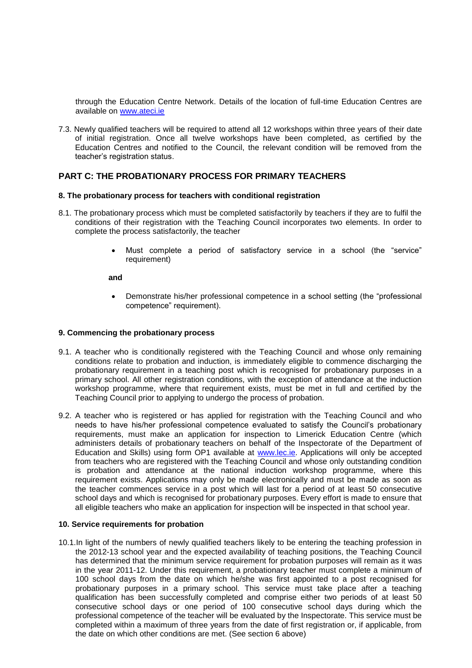through the Education Centre Network. Details of the location of full-time Education Centres are available on [www.ateci.ie](http://www.ateci.ie/)

7.3. Newly qualified teachers will be required to attend all 12 workshops within three years of their date of initial registration. Once all twelve workshops have been completed, as certified by the Education Centres and notified to the Council, the relevant condition will be removed from the teacher's registration status.

## **PART C: THE PROBATIONARY PROCESS FOR PRIMARY TEACHERS**

#### **8. The probationary process for teachers with conditional registration**

- 8.1. The probationary process which must be completed satisfactorily by teachers if they are to fulfil the conditions of their registration with the Teaching Council incorporates two elements. In order to complete the process satisfactorily, the teacher
	- Must complete a period of satisfactory service in a school (the "service" requirement)

#### **and**

 Demonstrate his/her professional competence in a school setting (the "professional competence" requirement).

#### **9. Commencing the probationary process**

- 9.1. A teacher who is conditionally registered with the Teaching Council and whose only remaining conditions relate to probation and induction, is immediately eligible to commence discharging the probationary requirement in a teaching post which is recognised for probationary purposes in a primary school. All other registration conditions, with the exception of attendance at the induction workshop programme, where that requirement exists, must be met in full and certified by the Teaching Council prior to applying to undergo the process of probation.
- 9.2. A teacher who is registered or has applied for registration with the Teaching Council and who needs to have his/her professional competence evaluated to satisfy the Council's probationary requirements, must make an application for inspection to Limerick Education Centre (which administers details of probationary teachers on behalf of the Inspectorate of the Department of Education and Skills) using form OP1 available at [www.lec.ie.](http://www.lec.ie/) Applications will only be accepted from teachers who are registered with the Teaching Council and whose only outstanding condition is probation and attendance at the national induction workshop programme, where this requirement exists. Applications may only be made electronically and must be made as soon as the teacher commences service in a post which will last for a period of at least 50 consecutive school days and which is recognised for probationary purposes. Every effort is made to ensure that all eligible teachers who make an application for inspection will be inspected in that school year.

### **10. Service requirements for probation**

10.1.In light of the numbers of newly qualified teachers likely to be entering the teaching profession in the 2012-13 school year and the expected availability of teaching positions, the Teaching Council has determined that the minimum service requirement for probation purposes will remain as it was in the year 2011-12. Under this requirement, a probationary teacher must complete a minimum of 100 school days from the date on which he/she was first appointed to a post recognised for probationary purposes in a primary school. This service must take place after a teaching qualification has been successfully completed and comprise either two periods of at least 50 consecutive school days or one period of 100 consecutive school days during which the professional competence of the teacher will be evaluated by the Inspectorate. This service must be completed within a maximum of three years from the date of first registration or, if applicable, from the date on which other conditions are met. (See section 6 above)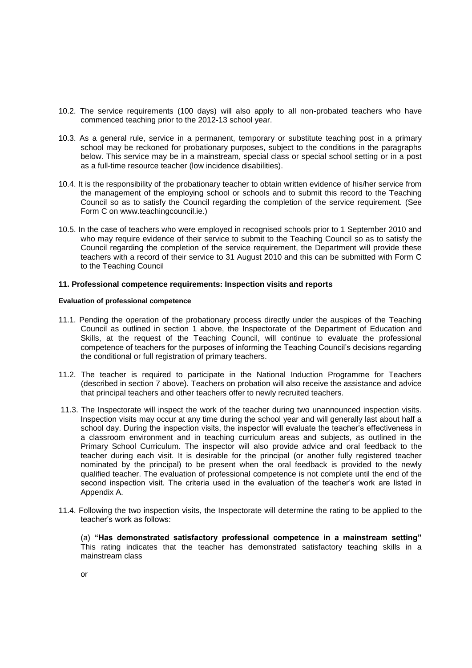- 10.2. The service requirements (100 days) will also apply to all non-probated teachers who have commenced teaching prior to the 2012-13 school year.
- 10.3. As a general rule, service in a permanent, temporary or substitute teaching post in a primary school may be reckoned for probationary purposes, subject to the conditions in the paragraphs below. This service may be in a mainstream, special class or special school setting or in a post as a full-time resource teacher (low incidence disabilities).
- 10.4. It is the responsibility of the probationary teacher to obtain written evidence of his/her service from the management of the employing school or schools and to submit this record to the Teaching Council so as to satisfy the Council regarding the completion of the service requirement. (See Form C on www.teachingcouncil.ie.)
- 10.5. In the case of teachers who were employed in recognised schools prior to 1 September 2010 and who may require evidence of their service to submit to the Teaching Council so as to satisfy the Council regarding the completion of the service requirement, the Department will provide these teachers with a record of their service to 31 August 2010 and this can be submitted with Form C to the Teaching Council

### **11. Professional competence requirements: Inspection visits and reports**

#### **Evaluation of professional competence**

- 11.1. Pending the operation of the probationary process directly under the auspices of the Teaching Council as outlined in section 1 above, the Inspectorate of the Department of Education and Skills, at the request of the Teaching Council, will continue to evaluate the professional competence of teachers for the purposes of informing the Teaching Council's decisions regarding the conditional or full registration of primary teachers.
- 11.2. The teacher is required to participate in the National Induction Programme for Teachers (described in section 7 above). Teachers on probation will also receive the assistance and advice that principal teachers and other teachers offer to newly recruited teachers.
- 11.3. The Inspectorate will inspect the work of the teacher during two unannounced inspection visits. Inspection visits may occur at any time during the school year and will generally last about half a school day. During the inspection visits, the inspector will evaluate the teacher's effectiveness in a classroom environment and in teaching curriculum areas and subjects, as outlined in the Primary School Curriculum. The inspector will also provide advice and oral feedback to the teacher during each visit. It is desirable for the principal (or another fully registered teacher nominated by the principal) to be present when the oral feedback is provided to the newly qualified teacher. The evaluation of professional competence is not complete until the end of the second inspection visit. The criteria used in the evaluation of the teacher's work are listed in Appendix A.
- 11.4. Following the two inspection visits, the Inspectorate will determine the rating to be applied to the teacher's work as follows:

(a) **"Has demonstrated satisfactory professional competence in a mainstream setting"**  This rating indicates that the teacher has demonstrated satisfactory teaching skills in a mainstream class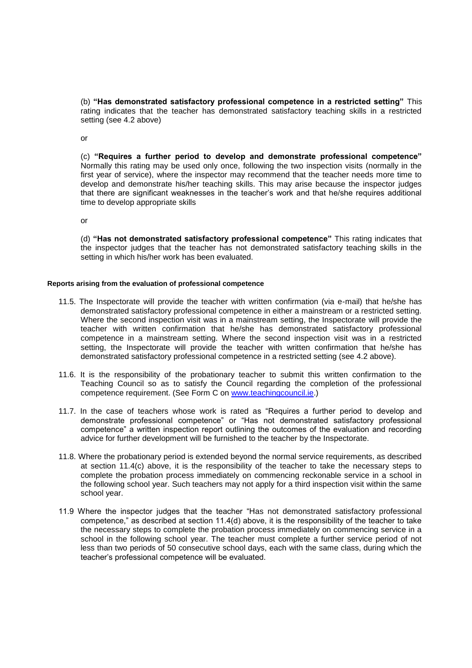(b) **"Has demonstrated satisfactory professional competence in a restricted setting"** This rating indicates that the teacher has demonstrated satisfactory teaching skills in a restricted setting (see 4.2 above)

or

(c) **"Requires a further period to develop and demonstrate professional competence"**  Normally this rating may be used only once, following the two inspection visits (normally in the first year of service), where the inspector may recommend that the teacher needs more time to develop and demonstrate his/her teaching skills. This may arise because the inspector judges that there are significant weaknesses in the teacher's work and that he/she requires additional time to develop appropriate skills

or

(d) **"Has not demonstrated satisfactory professional competence"** This rating indicates that the inspector judges that the teacher has not demonstrated satisfactory teaching skills in the setting in which his/her work has been evaluated.

### **Reports arising from the evaluation of professional competence**

- 11.5. The Inspectorate will provide the teacher with written confirmation (via e-mail) that he/she has demonstrated satisfactory professional competence in either a mainstream or a restricted setting. Where the second inspection visit was in a mainstream setting, the Inspectorate will provide the teacher with written confirmation that he/she has demonstrated satisfactory professional competence in a mainstream setting. Where the second inspection visit was in a restricted setting, the Inspectorate will provide the teacher with written confirmation that he/she has demonstrated satisfactory professional competence in a restricted setting (see 4.2 above).
- 11.6. It is the responsibility of the probationary teacher to submit this written confirmation to the Teaching Council so as to satisfy the Council regarding the completion of the professional competence requirement. (See Form C on [www.teachingcouncil.ie.](http://www.teachingcouncil.ie/))
- 11.7. In the case of teachers whose work is rated as "Requires a further period to develop and demonstrate professional competence" or "Has not demonstrated satisfactory professional competence" a written inspection report outlining the outcomes of the evaluation and recording advice for further development will be furnished to the teacher by the Inspectorate.
- 11.8. Where the probationary period is extended beyond the normal service requirements, as described at section 11.4(c) above, it is the responsibility of the teacher to take the necessary steps to complete the probation process immediately on commencing reckonable service in a school in the following school year. Such teachers may not apply for a third inspection visit within the same school year.
- 11.9 Where the inspector judges that the teacher "Has not demonstrated satisfactory professional competence," as described at section 11.4(d) above, it is the responsibility of the teacher to take the necessary steps to complete the probation process immediately on commencing service in a school in the following school year. The teacher must complete a further service period of not less than two periods of 50 consecutive school days, each with the same class, during which the teacher's professional competence will be evaluated.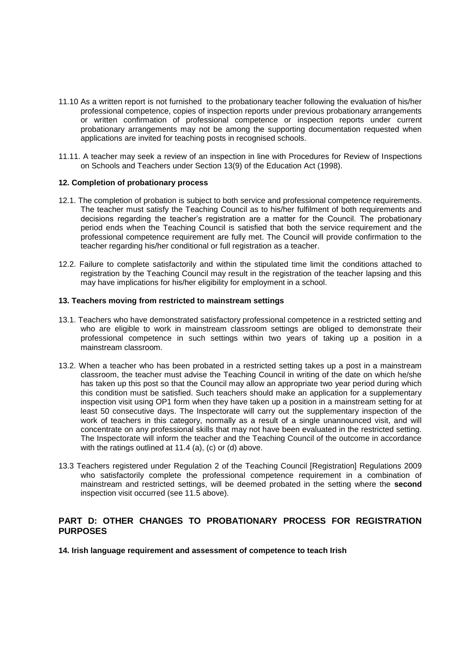- 11.10 As a written report is not furnished to the probationary teacher following the evaluation of his/her professional competence, copies of inspection reports under previous probationary arrangements or written confirmation of professional competence or inspection reports under current probationary arrangements may not be among the supporting documentation requested when applications are invited for teaching posts in recognised schools.
- 11.11. A teacher may seek a review of an inspection in line with Procedures for Review of Inspections on Schools and Teachers under Section 13(9) of the Education Act (1998).

### **12. Completion of probationary process**

- 12.1. The completion of probation is subject to both service and professional competence requirements. The teacher must satisfy the Teaching Council as to his/her fulfilment of both requirements and decisions regarding the teacher's registration are a matter for the Council. The probationary period ends when the Teaching Council is satisfied that both the service requirement and the professional competence requirement are fully met. The Council will provide confirmation to the teacher regarding his/her conditional or full registration as a teacher.
- 12.2. Failure to complete satisfactorily and within the stipulated time limit the conditions attached to registration by the Teaching Council may result in the registration of the teacher lapsing and this may have implications for his/her eligibility for employment in a school.

### **13. Teachers moving from restricted to mainstream settings**

- 13.1. Teachers who have demonstrated satisfactory professional competence in a restricted setting and who are eligible to work in mainstream classroom settings are obliged to demonstrate their professional competence in such settings within two years of taking up a position in a mainstream classroom.
- 13.2. When a teacher who has been probated in a restricted setting takes up a post in a mainstream classroom, the teacher must advise the Teaching Council in writing of the date on which he/she has taken up this post so that the Council may allow an appropriate two year period during which this condition must be satisfied. Such teachers should make an application for a supplementary inspection visit using OP1 form when they have taken up a position in a mainstream setting for at least 50 consecutive days. The Inspectorate will carry out the supplementary inspection of the work of teachers in this category, normally as a result of a single unannounced visit, and will concentrate on any professional skills that may not have been evaluated in the restricted setting. The Inspectorate will inform the teacher and the Teaching Council of the outcome in accordance with the ratings outlined at 11.4 (a), (c) or (d) above.
- 13.3 Teachers registered under Regulation 2 of the Teaching Council [Registration] Regulations 2009 who satisfactorily complete the professional competence requirement in a combination of mainstream and restricted settings, will be deemed probated in the setting where the **second** inspection visit occurred (see 11.5 above).

## **PART D: OTHER CHANGES TO PROBATIONARY PROCESS FOR REGISTRATION PURPOSES**

**14. Irish language requirement and assessment of competence to teach Irish**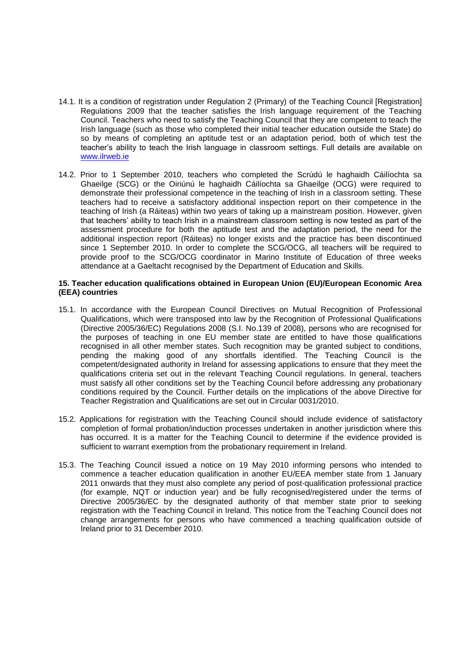- 14.1. It is a condition of registration under Regulation 2 (Primary) of the Teaching Council [Registration] Regulations 2009 that the teacher satisfies the Irish language requirement of the Teaching Council. Teachers who need to satisfy the Teaching Council that they are competent to teach the Irish language (such as those who completed their initial teacher education outside the State) do so by means of completing an aptitude test or an adaptation period, both of which test the teacher's ability to teach the Irish language in classroom settings. Full details are available on [www.ilrweb.ie](http://www.ilrweb.ie/)
- 14.2. Prior to 1 September 2010, teachers who completed the Scrúdú le haghaidh Cáilíochta sa Ghaeilge (SCG) or the Oiriúnú le haghaidh Cáilíochta sa Ghaeilge (OCG) were required to demonstrate their professional competence in the teaching of Irish in a classroom setting. These teachers had to receive a satisfactory additional inspection report on their competence in the teaching of Irish (a Ráiteas) within two years of taking up a mainstream position. However, given that teachers' ability to teach Irish in a mainstream classroom setting is now tested as part of the assessment procedure for both the aptitude test and the adaptation period, the need for the additional inspection report (Ráiteas) no longer exists and the practice has been discontinued since 1 September 2010. In order to complete the SCG/OCG, all teachers will be required to provide proof to the SCG/OCG coordinator in Marino Institute of Education of three weeks attendance at a Gaeltacht recognised by the Department of Education and Skills.

### **15. Teacher education qualifications obtained in European Union (EU)/European Economic Area (EEA) countries**

- 15.1. In accordance with the European Council Directives on Mutual Recognition of Professional Qualifications, which were transposed into law by the Recognition of Professional Qualifications (Directive 2005/36/EC) Regulations 2008 (S.I. No.139 of 2008), persons who are recognised for the purposes of teaching in one EU member state are entitled to have those qualifications recognised in all other member states. Such recognition may be granted subject to conditions, pending the making good of any shortfalls identified. The Teaching Council is the competent/designated authority in Ireland for assessing applications to ensure that they meet the qualifications criteria set out in the relevant Teaching Council regulations. In general, teachers must satisfy all other conditions set by the Teaching Council before addressing any probationary conditions required by the Council. Further details on the implications of the above Directive for Teacher Registration and Qualifications are set out in Circular 0031/2010.
- 15.2. Applications for registration with the Teaching Council should include evidence of satisfactory completion of formal probation/induction processes undertaken in another jurisdiction where this has occurred. It is a matter for the Teaching Council to determine if the evidence provided is sufficient to warrant exemption from the probationary requirement in Ireland.
- 15.3. The Teaching Council issued a notice on 19 May 2010 informing persons who intended to commence a teacher education qualification in another EU/EEA member state from 1 January 2011 onwards that they must also complete any period of post-qualification professional practice (for example, NQT or induction year) and be fully recognised/registered under the terms of Directive 2005/36/EC by the designated authority of that member state prior to seeking registration with the Teaching Council in Ireland. This notice from the Teaching Council does not change arrangements for persons who have commenced a teaching qualification outside of Ireland prior to 31 December 2010.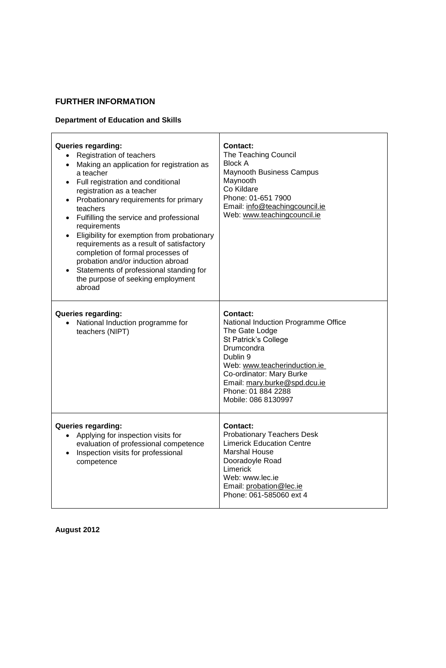# **FURTHER INFORMATION**

# **Department of Education and Skills**

| Queries regarding:<br>• Registration of teachers<br>Making an application for registration as<br>$\bullet$<br>a teacher<br>Full registration and conditional<br>registration as a teacher<br>• Probationary requirements for primary<br>teachers<br>• Fulfilling the service and professional<br>requirements<br>Eligibility for exemption from probationary<br>requirements as a result of satisfactory<br>completion of formal processes of<br>probation and/or induction abroad<br>Statements of professional standing for<br>the purpose of seeking employment<br>abroad | <b>Contact:</b><br>The Teaching Council<br><b>Block A</b><br><b>Maynooth Business Campus</b><br>Maynooth<br>Co Kildare<br>Phone: 01-651 7900<br>Email: info@teachingcouncil.ie<br>Web: www.teachingcouncil.ie                                                       |
|------------------------------------------------------------------------------------------------------------------------------------------------------------------------------------------------------------------------------------------------------------------------------------------------------------------------------------------------------------------------------------------------------------------------------------------------------------------------------------------------------------------------------------------------------------------------------|---------------------------------------------------------------------------------------------------------------------------------------------------------------------------------------------------------------------------------------------------------------------|
| Queries regarding:<br>National Induction programme for<br>$\bullet$<br>teachers (NIPT)                                                                                                                                                                                                                                                                                                                                                                                                                                                                                       | <b>Contact:</b><br>National Induction Programme Office<br>The Gate Lodge<br>St Patrick's College<br>Drumcondra<br>Dublin 9<br>Web: www.teacherinduction.ie<br>Co-ordinator: Mary Burke<br>Email: mary.burke@spd.dcu.ie<br>Phone: 01 884 2288<br>Mobile: 086 8130997 |
| <b>Queries regarding:</b><br>• Applying for inspection visits for<br>evaluation of professional competence<br>Inspection visits for professional<br>competence                                                                                                                                                                                                                                                                                                                                                                                                               | <b>Contact:</b><br><b>Probationary Teachers Desk</b><br><b>Limerick Education Centre</b><br><b>Marshal House</b><br>Dooradoyle Road<br>Limerick<br>Web: www.lec.ie<br>Email: probation@lec.ie<br>Phone: 061-585060 ext 4                                            |

**August 2012**